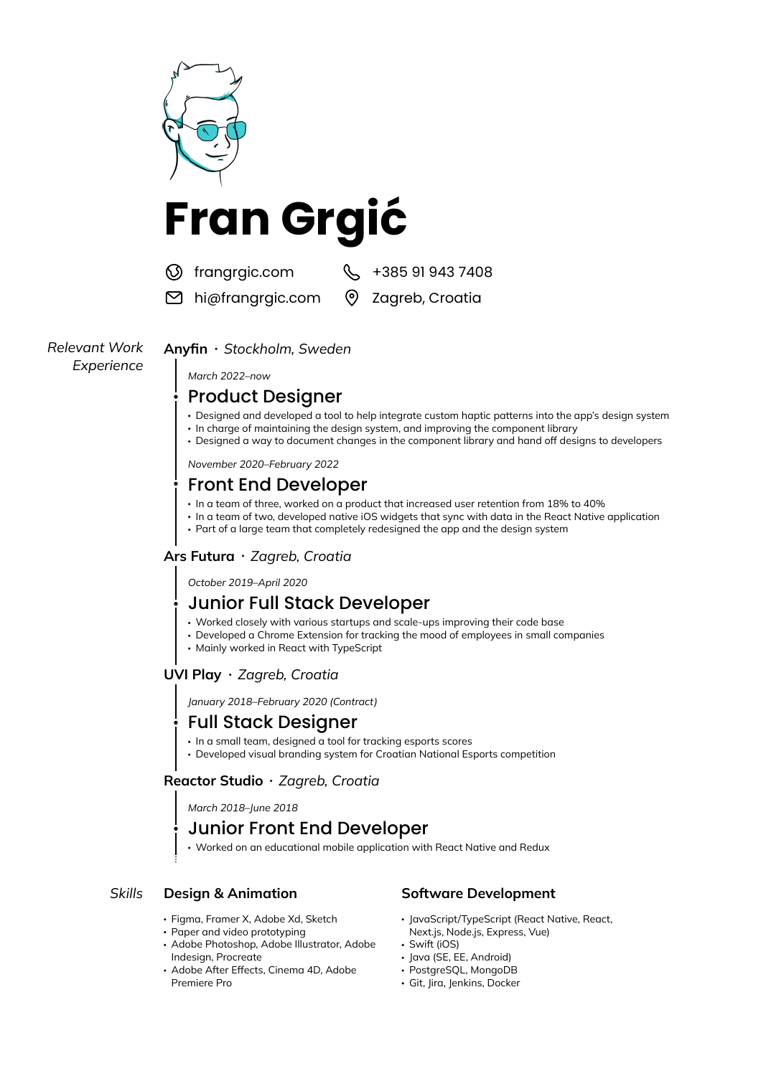

- Designed and developed a tool to help integrate custom haptic patterns into the app's design system
- In charge of maintaining the design system, and improving the component library
- Designed a way to document changes in the component library and hand off designs to developers

*November 2020–February 2022*

# Front End Developer

- In a team of three, worked on a product that increased user retention from 18% to 40%
- In a team of two, developed native iOS widgets that sync with data in the React Native application
- Part of a large team that completely redesigned the app and the design system

#### **Ars Futura** *Zagreb, Croatia*

*October 2019–April 2020*

## Junior Full Stack Developer

- Worked closely with various startups and scale-ups improving their code base
- Developed a Chrome Extension for tracking the mood of employees in small companies
- Mainly worked in React with TypeScript

## **UVI Play** *Zagreb, Croatia*

*January 2018–February 2020 (Contract)*

# Full Stack Designer

- In a small team, designed a tool for tracking esports scores
- Developed visual branding system for Croatian National Esports competition

## **Reactor Studio** *Zagreb, Croatia*

*March 2018–June 2018*

## Junior Front End Developer

Worked on an educational mobile application with React Native and Redux

## *Skills* **Design & Animation Software Development**

- Figma, Framer X, Adobe Xd, Sketch
- Paper and video prototyping
- Adobe Photoshop, Adobe Illustrator, Adobe Indesign, Procreate **Java (SE, EE, Android)** Java (SE, EE, Android)
- Adobe After Effects, Cinema 4D, Adobe PostgreSQL, MongoDB Premiere Pro **Community Community** Git, Jira, Jenkins, Docker

- JavaScript/TypeScript (React Native, React, Next.js, Node.js, Express, Vue)
- Swift (iOS)
- 
- 
-